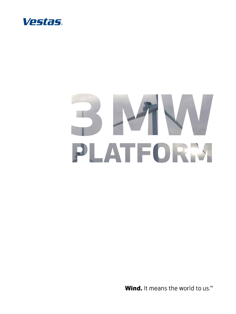

# PLATFORM

Wind. It means the world to us.<sup>™</sup>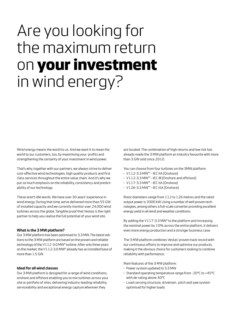# Are you looking for the maximum return on **your investment** in wind energy?

Wind energy means the world to us. And we want it to mean the world to our customers, too, by maximising your profits and strengthening the certainty of your investment in wind power.

That's why, together with our partners, we always strive to deliver cost-effective wind technologies, high quality products and first class services throughout the entire value chain. And it's why we put so much emphasis on the reliability, consistency and predictability of our technology.

These aren't idle words. We have over 30 years' experience in wind energy. During that time, we've delivered more than 55 GW of installed capacity and we currently monitor over 24,000 wind turbines across the globe. Tangible proof that Vestas is the right partner to help you realise the full potential of your wind site.

#### **What is the 3 MW platform?**

Our 3 MW platform has been optimised to 3.3 MW. The latest editions to the 3 MW platform are based on the proven and reliable technology of the V112-3.0 MW® turbine. After only three years on the market, the V112-3.0 MW® already has an installed base of more than 1.5 GW.

#### **Ideal for all wind classes**

Our 3 MW platform is designed for a range of wind conditions, onshore and offshore enabling you to mix turbines across your site or portfolio of sites, delivering industry-leading reliability, serviceability and exceptional energy capture wherever they

are located. The combination of high returns and low risk has already made the 3 MW platform an industry favourite with more than 3 GW sold since 2010.

You can choose from four turbines on the 3MW platform:

- **·** V112-3.3 MW™ IEC IIA (Onshore)
- **·** V112-3.3 MW™ IEC IB (Onshore and offshore)
- **·** V117-3.3 MW™ IEC IIA (Onshore)
- **·** V126-3.3 MW™ IEC IIIA (Onshore)

Rotor diameters range from 112 to 126 metres and the rated output power is 3300 kW. Using a number of well proven technologies, among others a full-scale converter providing excellent energy yield in all wind and weather conditions.

By adding the V117-3.3 MW® to the platform and increasing the nominal power by 10% across the entire platform, it delivers even more energy production and a stronger business case.

The 3 MW platform combines Vestas' proven track record with our continuous efforts to improve and optimise our products, making it the obvious choice for customers looking to combine reliability with performance.

Main features of the 3 MW platform:

- **·** Power system updated to 3.3 MW
- **·** Standard operating temperature range from -20°C to +45°C with de-rating above 30°C
- **·** Load carrying structure, drivetrain , pitch and yaw system optimised for higher loads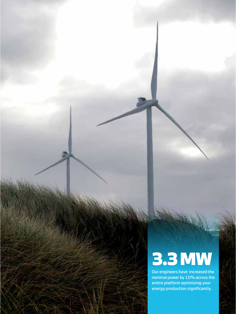# **3.3 MW**

Our engineers have increased the nominal power by 10% across the entire platform optimizing your energy production significantly.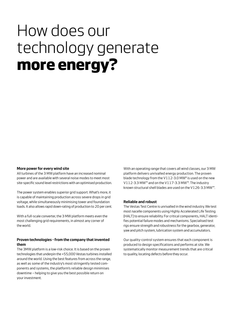# How does our technology generate **more energy?**

#### **More power for every wind site**

All turbines of the 3 MW platform have an increased nominal power and are available with several noise modes to meet most site-specific sound level restrictions with an optimised production.

The power system enables superior grid support. What's more, it is capable of maintaining production across severe drops in grid voltage, while simultaneously minimising tower and foundation loads. It also allows rapid down-rating of production to 20 per cent.

With a full-scale converter, the 3 MW platform meets even the most challenging grid requirements, in almost any corner of the world.

## **Proven technologies - from the company that invented them**

The 3MW platform is a low-risk choice. It is based on the proven technologies that underpin the +55,000 Vestas turbines installed around the world. Using the best features from across the range, as well as some of the industry's most stringently tested components and systems, the platform's reliable design minimises downtime – helping to give you the best possible return on your investment.

With an operating range that covers all wind classes, our 3 MW platform delivers unrivalled energy production. The proven blade technology from the V112-3.0 MW® is used on the new V112-3.3 MW™ and on the V117-3.3 MW™. The industry known structural shell blades are used on the V126-3.3 MW™.

#### **Reliable and robust**

The Vestas Test Centre is unrivalled in the wind industry. We test most nacelle components using Highly Accelerated Life Testing (HALT) to ensure reliability. For critical components, HALT identifies potential failure modes and mechanisms. Specialised test rigs ensure strength and robustness for the gearbox, generator, yaw and pitch system, lubrication system and accumulators.

Our quality-control system ensures that each component is produced to design specifications and performs at site. We systematically monitor measurement trends that are critical to quality, locating defects before they occur.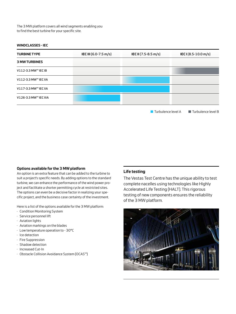The 3 MW platform covers all wind segments enabling you to find the best turbine for your specific site.

#### **Windclasses - IEC**

| <b>TURBINE TYPE</b>   | IEC III (6.0-7.5 m/s) | IEC II (7.5-8.5 m/s) | IECI(8.5-10.0 m/s)                |
|-----------------------|-----------------------|----------------------|-----------------------------------|
| <b>3 MW TURBINES</b>  |                       |                      |                                   |
| V112-3.3 MW™ IEC IB   |                       |                      |                                   |
| V112-3.3 MW™ IEC IIA  |                       |                      |                                   |
| V117-3.3 MW™ IEC IIA  |                       |                      |                                   |
| V126-3.3 MW™ IEC IIIA |                       |                      |                                   |
|                       |                       | Turbulence level A   | $\blacksquare$ Turbulence level B |

#### **Options available for the 3 MW platform**

An option is an extra feature that can be added to the turbine to suit a project's specific needs. By adding options to the standard turbine, we can enhance the performance of the wind power project and facilitate a shorter permitting cycle at restricted sites. The options can even be a decisive factor in realizing your specific project, and the business case certainty of the investment.

Here is a list of the options available for the 3 MW platform:

- · Condition Monitoring System
- · Service personnel lift
- · Aviation lights
- · Aviation markings on the blades
- · Low temperature operation to 30°C
- · Ice detection
- · Fire Suppression
- · Shadow detection
- · Increased Cut-In
- · Obstacle Collision Avoidance System (OCAS™)

## **Life testing**

The Vestas Test Centre has the unique ability to test complete nacelles using technologies like Highly Accelerated Life Testing (HALT). This rigorous testing of new components ensures the reliability of the 3 MW platform.

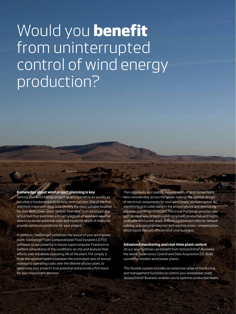## Would you **benefit** from uninterrupted control of wind energy production?

## **Knowledge about wind project planning is key**

Getting your wind energy project up and operating as quickly as possible is fundamental to its long-term success. One of the first and most important steps is to identify the most suitable location for your wind power plant. Vestas' SiteHunt® is an advanced analytical tool that examines a broad spectrum of wind and weather data to evaluate potential sites and establish which of them can provide optimum conditions for your project.

In addition, SiteDesign® optimises the layout of your wind power plant. SiteDesign® runs Computational Fluid Dynamics (CFD) software on our powerful in-house supercomputer Firestorm to perform simulations of the conditions on site and analyse their effects over the whole operating life of the plant. Put simply, it finds the optimal balance between the estimated ratio of annual revenue to operating costs over the lifetime of your plant, to determine your project's true potential and provide a firm basis for your investment decision.

The complexity and specific requirements of grid connections vary considerably across the globe, making the optimal design of electrical components for your wind power plant essential. By identifying grid codes early in the project phase and simulating extreme operating conditions, Electrical PreDesign provides you with an ideal way to build a grid compliant, productive and highly profitable wind power plant. It allows customised collector network cabling, substation protection and reactive power compensation, which boost the cost efficiency of your business.

#### **Advanced monitoring and real-time plant control**

All our wind turbines can benefit from VestasOnline® Business, the latest Supervisory Control and Data Acquisition (SCADA) system for modern wind power plants.

This flexible system includes an extensive range of monitoring and management functions to control your wind power plant. VestasOnline® Business enables you to optimise production levels,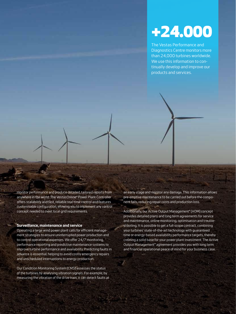## **+24.000**

The Vestas Performance and Diagnostics Centre monitors more than 24,000 turbines worldwide. We use this information to continually develop and improve our products and services.

monitor performance and produce detailed, tailored reports from anywhere in the world. The VestasOnline® Power Plant Controller offers scalability and fast, reliable real-time control and features customisable configuration, allowing you to implement any control concept needed to meet local grid requirements.

#### **Surveillance, maintenance and service**

Operating a large wind power plant calls for efficient management strategies to ensure uninterrupted power production and to control operational expenses. We offer 24/7 monitoring, performance reporting and predictive maintenance systems to improve turbine performance and availability. Predicting faults in advance is essential, helping to avoid costly emergency repairs and unscheduled interruptions to energy production.

Our Condition Monitoring System (CMS) assesses the status of the turbines by analysing vibration signals. For example, by measuring the vibration of the drive train, it can detect faults at an early stage and monitor any damage. This information allows pre-emptive maintenance to be carried out before the component fails, reducing repair costs and production loss.

Additionally, our Active Output Management® (AOM) concept provides detailed plans and long term agreements for service and maintenance, online monitoring, optimisation and troubleshooting. It is possible to get a full scope contract, combining your turbines' state-of-the-art technology with guaranteed time or energy-based availability performance targets, thereby creating a solid base for your power plant investment. The Active Output Management® agreement provides you with long term and financial operational peace of mind for your business case.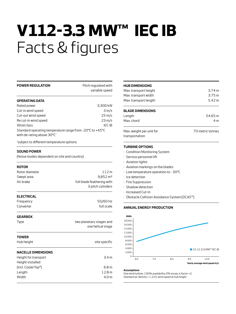# **V112-3.3 MW™ IEC IB** Facts & figures

| <b>POWER REGULATION</b>                                                                 | Pitch regulated with       |
|-----------------------------------------------------------------------------------------|----------------------------|
|                                                                                         | variable speed             |
| <b>OPERATING DATA</b>                                                                   |                            |
| Rated power                                                                             | 3,300 kW                   |
| Cut-in wind speed                                                                       | 3 m/s                      |
| Cut-out wind speed                                                                      | 25 m/s                     |
| Re cut-in wind speed                                                                    | $23 \text{ m/s}$           |
| Wind class                                                                              | <b>IEC IB</b>              |
| Standard operating temperature range from - 20°C to +45°C<br>with de-rating above 30°C* |                            |
| *subject to different temperature options                                               |                            |
| <b>SOUND POWER</b>                                                                      |                            |
| (Noise modes dependent on site and country)                                             |                            |
| <b>ROTOR</b>                                                                            |                            |
| Rotor diameter                                                                          | 112 m                      |
| Swept area                                                                              | 9,852 m <sup>2</sup>       |
| Air brake                                                                               | full blade feathering with |
|                                                                                         | 3 pitch cylinders          |
| <b>ELECTRICAL</b>                                                                       |                            |
| Frequency                                                                               | 50/60 Hz                   |
| Converter                                                                               | full scale                 |
| <b>GEARBOX</b>                                                                          |                            |
| Type                                                                                    | two planetary stages and   |
|                                                                                         | one helical stage          |
| TOWER                                                                                   |                            |
| Hub height                                                                              | site specific              |
| <b>NACELLE DIMENSIONS</b>                                                               |                            |
| Height for transport                                                                    | 3.4 <sub>m</sub>           |
| Height installed                                                                        |                            |
| (incl. CoolerTop®)                                                                      | 6.8 m                      |
| Length                                                                                  | 12.8 m                     |
| Width                                                                                   | 4.0 <sub>m</sub>           |
|                                                                                         |                            |

| <b>HUB DIMENSIONS</b>                      |                   |
|--------------------------------------------|-------------------|
| Max. transport height                      | 3.74 m            |
| Max. transport width                       | 3.75 <sub>m</sub> |
| Max. transport length                      | 5.42 m            |
| <b>BLADE DIMENSIONS</b>                    |                   |
| Length                                     | 54.65 m           |
| Max chord                                  | 4 m               |
| Max. weight per unit for<br>transportation | 70 metric tonnes  |

#### **Turbine Options**

- · Condition Monitoring System
- · Service personnel lift
- · Aviation lights
- · Aviation markings on the blades
- · Low temperature operation to 30°C
- · Ice detection
- · Fire Suppression
- · Shadow detection
- · Increased Cut-In
- · Obstacle Collision Avoidance System (OCAS™)

#### **Annual Energy Production**



#### **Assumptions**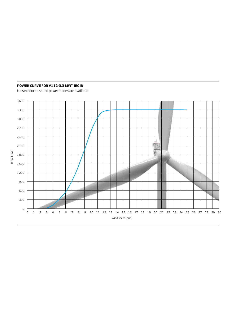## **POWER CURVE FOR V112-3.3 MW™ IEC IB**

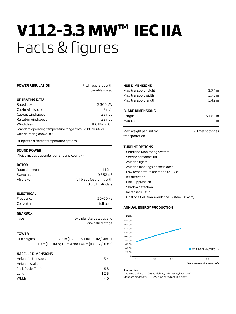# **V112-3.3 MW™ IEC IIA** Facts & figures

| <b>POWER REGULATION</b>                                                                | Pitch regulated with<br>variable speed |
|----------------------------------------------------------------------------------------|----------------------------------------|
| <b>OPERATING DATA</b>                                                                  |                                        |
| Rated power                                                                            | 3,300 kW                               |
| Cut-in wind speed                                                                      | 3 m/s                                  |
| Cut-out wind speed                                                                     | $25 \text{ m/s}$                       |
| Re cut-in wind speed                                                                   | $23 \text{ m/s}$                       |
| Wind class                                                                             | IEC IIA/DIBt3                          |
| Standard operating temperature range from -20°C to +45°C<br>with de-rating above 30°C* |                                        |
|                                                                                        |                                        |

\* subject to different temperature options

#### **SOUND POWER**

(Noise modes dependent on site and country)

#### **ROTOR**

| Rotor diameter    | 112m                       |
|-------------------|----------------------------|
| Swept area        | $9.852 \,\mathrm{m}^2$     |
| Air brake         | full blade feathering with |
|                   | 3 pitch cylinders          |
| <b>ELECTRICAL</b> |                            |
| Frequency         | 50/60 Hz                   |
| Converter         | full scale                 |

#### **GEARBOX**

| <b>Type</b> | two planetary stages and |
|-------------|--------------------------|
|             | one helical stage        |

#### **TOWER**

| Hub heiahts | 84 m (IEC IIA), 94 m (IEC IIA/DIBt3),                 |
|-------------|-------------------------------------------------------|
|             | 119 m (IEC IIIA og DIBt3) and 140 m (IEC IIIA /DIBt2) |

| <b>NACELLE DIMENSIONS</b>        |                   |
|----------------------------------|-------------------|
| Height for transport             | 3.4 m             |
| Height installed                 |                   |
| (incl. Cooler Top <sup>®</sup> ) | 6.8 m             |
| Length                           | 12.8 <sub>m</sub> |
| Width                            | 4.0 <sub>m</sub>  |
|                                  |                   |

| <b>HUB DIMENSIONS</b>                      |                  |
|--------------------------------------------|------------------|
| Max. transport height                      | 3.74 m           |
| Max. transport width                       | 3.75 m           |
| Max. transport length                      | 5.42 m           |
| <b>BLADE DIMENSIONS</b>                    |                  |
| Length                                     | 54.65 m          |
| Max chord                                  | 4 <sub>m</sub>   |
| Max. weight per unit for<br>transportation | 70 metric tonnes |

## **Turbine Options**

- · Condition Monitoring System
- · Service personnel lift
- · Aviation lights
- · Aviation markings on the blades
- · Low temperature operation to 30°C
- · Ice detection
- · Fire Suppression
- · Shadow detection
- · Increased Cut-In
- · Obstacle Collision Avoidance System (OCAS™)

#### **Annual Energy Production**



#### **Assumptions**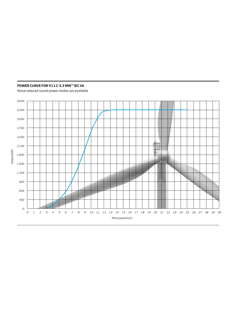## **POWER CURVE FOR V112-3.3 MW™ IEC IIA**

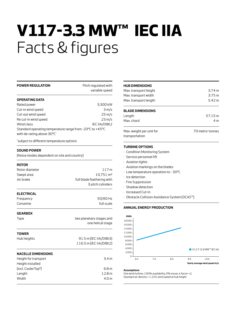# **V117-3.3 MW™ IEC IIA** Facts & figures

3 pitch cylinders

| <b>POWER REGULATION</b>                                                                | Pitch regulated with<br>variable speed |
|----------------------------------------------------------------------------------------|----------------------------------------|
| <b>OPERATING DATA</b>                                                                  |                                        |
| Rated power                                                                            | 3,300 kW                               |
| Cut-in wind speed                                                                      | 3 m/s                                  |
| Cut-out wind speed                                                                     | $25 \,\mathrm{m/s}$                    |
| Re cut-in wind speed                                                                   | $23 \text{ m/s}$                       |
| Wind class                                                                             | IEC IIA/DIBt2                          |
| Standard operating temperature range from -20°C to +45°C<br>with de-rating above 30°C* |                                        |
| *subject to different temperature options                                              |                                        |
| <b>SOUND POWER</b>                                                                     |                                        |
| (Noise modes dependent on site and country)                                            |                                        |
| <b>ROTOR</b>                                                                           |                                        |
| Rotor diameter                                                                         | 117 m                                  |

| <b>ELECTRICAL</b> |  |
|-------------------|--|

| Frequency | 50/60 Hz   |
|-----------|------------|
| Converter | full scale |

Swept area  $10,751$  m<sup>2</sup> Air brake **full blade feathering with** 

#### **GEARBOX**

| <b>Type</b>                      | two planetary stages and<br>one helical stage |
|----------------------------------|-----------------------------------------------|
| <b>TOWER</b><br>Hub heights      | $91.5$ m (IEC IIA/DIBt3)                      |
|                                  | 116.5 m (IEC IIA/DIBt2)                       |
| <b>NACELLE DIMENSIONS</b>        |                                               |
| Height for transport             | 3.4 <sub>m</sub>                              |
| Height installed                 |                                               |
| (incl. Cooler Top <sup>®</sup> ) | 6.8 <sub>m</sub>                              |
| Length                           | 12.8 m                                        |
| Width                            | 4.0 m                                         |

| <b>HUB DIMENSIONS</b>                      |                  |  |
|--------------------------------------------|------------------|--|
| Max. transport height                      | 3.74 m           |  |
| Max. transport width                       | 3.75 m           |  |
| Max. transport length                      | 5.42m            |  |
| <b>BLADE DIMENSIONS</b>                    |                  |  |
| Length                                     | 57.15 m          |  |
| Max chord                                  | 4 m              |  |
| Max, weight per unit for<br>transportation | 70 metric tonnes |  |

## **Turbine Options**

- · Condition Monitoring System
- · Service personnel lift
- · Aviation lights
- · Aviation markings on the blades
- · Low temperature operation to 30°C
- · Ice detection
- · Fire Suppression
- · Shadow detection
- · Increased Cut-In
- · Obstacle Collision Avoidance System (OCAS™)

#### **Annual Energy Production**



#### **Assumptions**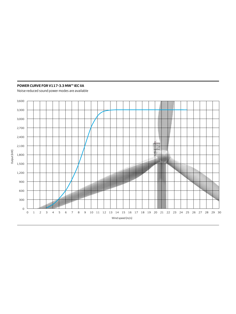## **POWER CURVE FOR V117-3.3 MW™ IEC IIA**

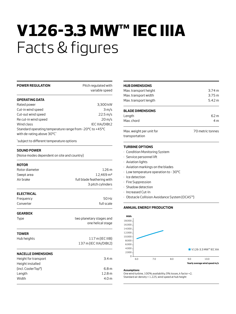# **V126-3.3 MW™ IEC IIIA** Facts & figures

| <b>POWER REGULATION</b>                                                                | Pitch regulated with<br>variable speed |
|----------------------------------------------------------------------------------------|----------------------------------------|
| <b>OPERATING DATA</b>                                                                  |                                        |
| Rated power                                                                            | 3,300 kW                               |
| Cut-in wind speed                                                                      | 3 m/s                                  |
| Cut-out wind speed                                                                     | 22.5 m/s                               |
| Re cut-in wind speed                                                                   | $20 \,\mathrm{m/s}$                    |
| Wind class                                                                             | IEC IIIA/DIBt2                         |
| Standard operating temperature range from -20°C to +45°C<br>with de-rating above 30°C* |                                        |
| *subject to different temperature options                                              |                                        |
| <b>SOUND POWER</b>                                                                     |                                        |
| (Noise modes dependent on site and country)                                            |                                        |

| Rotor diameter                   | 126m                       |  |
|----------------------------------|----------------------------|--|
| Swept area                       | 12,469 m <sup>2</sup>      |  |
| Air brake                        | full blade feathering with |  |
|                                  | 3 pitch cylinders          |  |
| <b>ELECTRICAL</b>                |                            |  |
| Frequency                        | 50 Hz                      |  |
| Converter                        | full scale                 |  |
| <b>GEARBOX</b>                   |                            |  |
| Type                             | two planetary stages and   |  |
|                                  | one helical stage          |  |
| <b>TOWER</b>                     |                            |  |
| Hub heights                      | $117$ m (IEC IIIB)         |  |
|                                  | 137 m (IEC IIIA/DIBt2)     |  |
| <b>NACELLE DIMENSIONS</b>        |                            |  |
| Height for transport             | 3.4 <sub>m</sub>           |  |
| Height installed                 |                            |  |
| (incl. Cooler Top <sup>®</sup> ) | 6.8 <sub>m</sub>           |  |
| Length                           | 12.8 m                     |  |
| Width                            | 4.0 <sub>m</sub>           |  |
|                                  |                            |  |

| <b>HUB DIMENSIONS</b>                      |                  |  |
|--------------------------------------------|------------------|--|
| Max. transport height                      | 3.74 m           |  |
| Max. transport width                       | 3.75 m           |  |
| Max. transport length                      | 5.42 m           |  |
| <b>BLADE DIMENSIONS</b>                    |                  |  |
| Length                                     | 62 m             |  |
| Max chord                                  | 4 <sub>m</sub>   |  |
| Max. weight per unit for<br>transportation | 70 metric tonnes |  |

## **Turbine Options**

- · Condition Monitoring System
- · Service personnel lift
- · Aviation lights
- · Aviation markings on the blades
- · Low temperature operation to 30°C
- · Ice detection
- · Fire Suppression
- · Shadow detection
- · Increased Cut-In
- · Obstacle Collision Avoidance System (OCAS™)

#### **Annual Energy Production**



#### **Assumptions**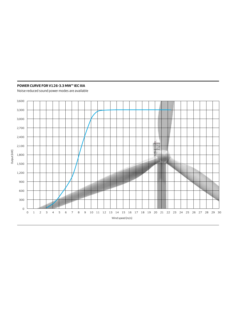## **POWER CURVE FOR V126-3.3 MW™ IEC IIIA**